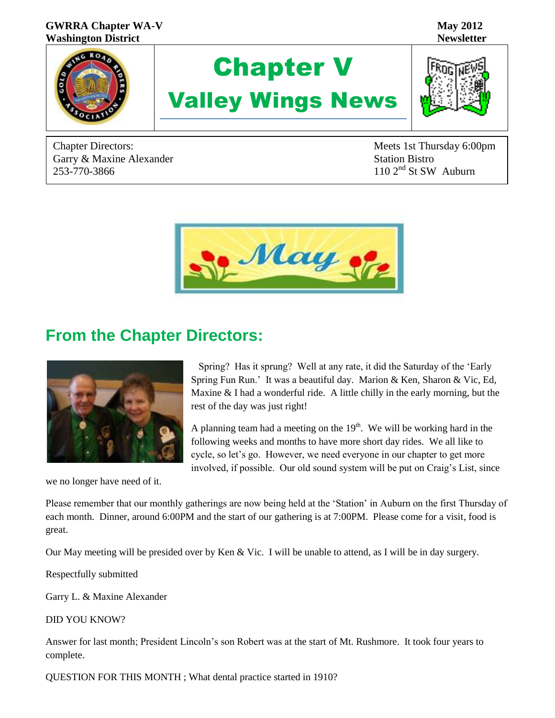

Garry & Maxine Alexander Garry & Maxine Alexander<br>
253-770-3866 110 2<sup>nd</sup> St SW Auburn

Chapter Directors: Meets 1st Thursday 6:00pm



## **From the Chapter Directors:**



we no longer have need of it.

 Spring? Has it sprung? Well at any rate, it did the Saturday of the 'Early Spring Fun Run.' It was a beautiful day. Marion & Ken, Sharon & Vic, Ed, Maxine & I had a wonderful ride. A little chilly in the early morning, but the rest of the day was just right!

A planning team had a meeting on the  $19<sup>th</sup>$ . We will be working hard in the following weeks and months to have more short day rides. We all like to cycle, so let's go. However, we need everyone in our chapter to get more involved, if possible. Our old sound system will be put on Craig's List, since

Please remember that our monthly gatherings are now being held at the 'Station' in Auburn on the first Thursday of each month. Dinner, around 6:00PM and the start of our gathering is at 7:00PM. Please come for a visit, food is great.

Our May meeting will be presided over by Ken & Vic. I will be unable to attend, as I will be in day surgery.

Respectfully submitted

Garry L. & Maxine Alexander

DID YOU KNOW?

Answer for last month; President Lincoln's son Robert was at the start of Mt. Rushmore. It took four years to complete.

QUESTION FOR THIS MONTH ; What dental practice started in 1910?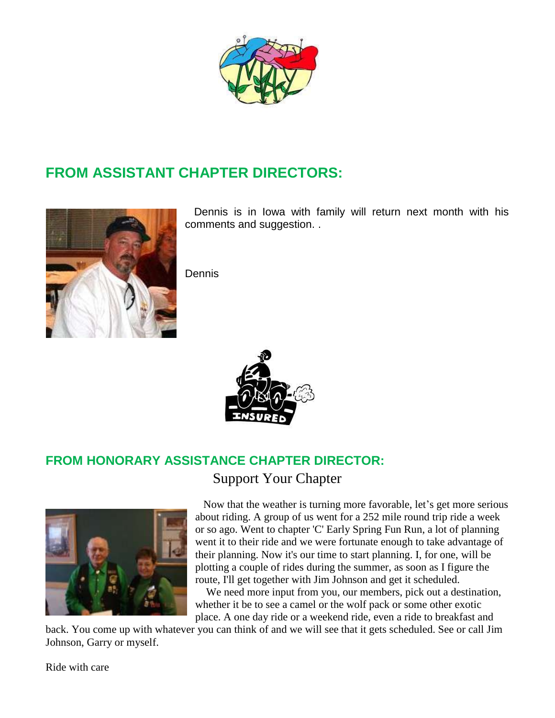

# **FROM ASSISTANT CHAPTER DIRECTORS:**



 Dennis is in Iowa with family will return next month with his comments and suggestion. .

Dennis



# **FROM HONORARY ASSISTANCE CHAPTER DIRECTOR:**

Support Your Chapter



 Now that the weather is turning more favorable, let's get more serious about riding. A group of us went for a 252 mile round trip ride a week or so ago. Went to chapter 'C' Early Spring Fun Run, a lot of planning went it to their ride and we were fortunate enough to take advantage of their planning. Now it's our time to start planning. I, for one, will be plotting a couple of rides during the summer, as soon as I figure the route, I'll get together with Jim Johnson and get it scheduled.

 We need more input from you, our members, pick out a destination, whether it be to see a camel or the wolf pack or some other exotic place. A one day ride or a weekend ride, even a ride to breakfast and

back. You come up with whatever you can think of and we will see that it gets scheduled. See or call Jim Johnson, Garry or myself.

Ride with care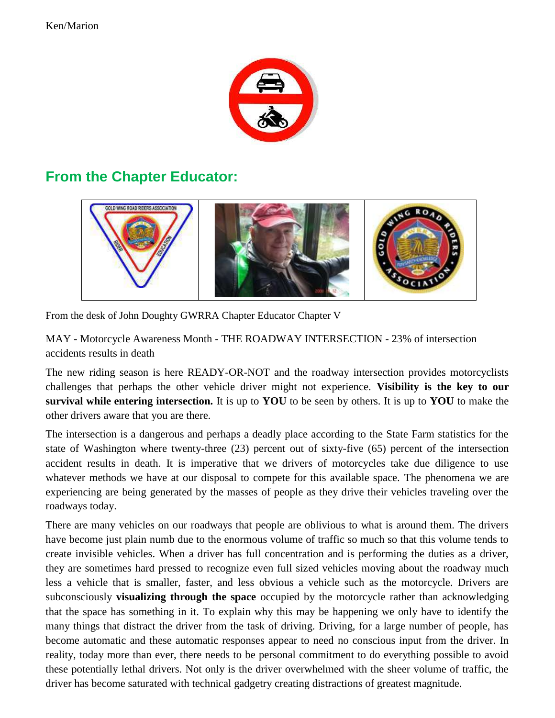

## **From the Chapter Educator:**



From the desk of John Doughty GWRRA Chapter Educator Chapter V

MAY - Motorcycle Awareness Month - THE ROADWAY INTERSECTION - 23% of intersection accidents results in death

The new riding season is here READY-OR-NOT and the roadway intersection provides motorcyclists challenges that perhaps the other vehicle driver might not experience. **Visibility is the key to our survival while entering intersection.** It is up to **YOU** to be seen by others. It is up to **YOU** to make the other drivers aware that you are there.

The intersection is a dangerous and perhaps a deadly place according to the State Farm statistics for the state of Washington where twenty-three (23) percent out of sixty-five (65) percent of the intersection accident results in death. It is imperative that we drivers of motorcycles take due diligence to use whatever methods we have at our disposal to compete for this available space. The phenomena we are experiencing are being generated by the masses of people as they drive their vehicles traveling over the roadways today.

There are many vehicles on our roadways that people are oblivious to what is around them. The drivers have become just plain numb due to the enormous volume of traffic so much so that this volume tends to create invisible vehicles. When a driver has full concentration and is performing the duties as a driver, they are sometimes hard pressed to recognize even full sized vehicles moving about the roadway much less a vehicle that is smaller, faster, and less obvious a vehicle such as the motorcycle. Drivers are subconsciously **visualizing through the space** occupied by the motorcycle rather than acknowledging that the space has something in it. To explain why this may be happening we only have to identify the many things that distract the driver from the task of driving. Driving, for a large number of people, has become automatic and these automatic responses appear to need no conscious input from the driver. In reality, today more than ever, there needs to be personal commitment to do everything possible to avoid these potentially lethal drivers. Not only is the driver overwhelmed with the sheer volume of traffic, the driver has become saturated with technical gadgetry creating distractions of greatest magnitude.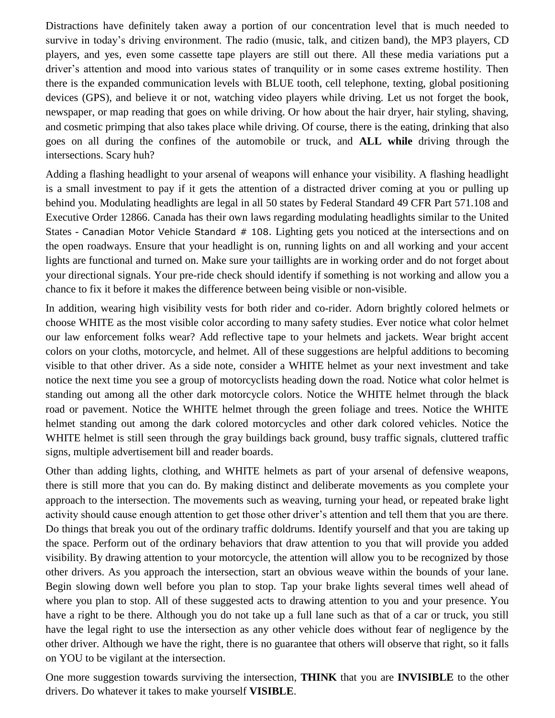Distractions have definitely taken away a portion of our concentration level that is much needed to survive in today's driving environment. The radio (music, talk, and citizen band), the MP3 players, CD players, and yes, even some cassette tape players are still out there. All these media variations put a driver's attention and mood into various states of tranquility or in some cases extreme hostility. Then there is the expanded communication levels with BLUE tooth, cell telephone, texting, global positioning devices (GPS), and believe it or not, watching video players while driving. Let us not forget the book, newspaper, or map reading that goes on while driving. Or how about the hair dryer, hair styling, shaving, and cosmetic primping that also takes place while driving. Of course, there is the eating, drinking that also goes on all during the confines of the automobile or truck, and **ALL while** driving through the intersections. Scary huh?

Adding a flashing headlight to your arsenal of weapons will enhance your visibility. A flashing headlight is a small investment to pay if it gets the attention of a distracted driver coming at you or pulling up behind you. Modulating headlights are legal in all 50 states by Federal Standard 49 CFR Part 571.108 and Executive Order 12866. Canada has their own laws regarding modulating headlights similar to the United States - Canadian Motor Vehicle Standard # 108. Lighting gets you noticed at the intersections and on the open roadways. Ensure that your headlight is on, running lights on and all working and your accent lights are functional and turned on. Make sure your taillights are in working order and do not forget about your directional signals. Your pre-ride check should identify if something is not working and allow you a chance to fix it before it makes the difference between being visible or non-visible.

In addition, wearing high visibility vests for both rider and co-rider. Adorn brightly colored helmets or choose WHITE as the most visible color according to many safety studies. Ever notice what color helmet our law enforcement folks wear? Add reflective tape to your helmets and jackets. Wear bright accent colors on your cloths, motorcycle, and helmet. All of these suggestions are helpful additions to becoming visible to that other driver. As a side note, consider a WHITE helmet as your next investment and take notice the next time you see a group of motorcyclists heading down the road. Notice what color helmet is standing out among all the other dark motorcycle colors. Notice the WHITE helmet through the black road or pavement. Notice the WHITE helmet through the green foliage and trees. Notice the WHITE helmet standing out among the dark colored motorcycles and other dark colored vehicles. Notice the WHITE helmet is still seen through the gray buildings back ground, busy traffic signals, cluttered traffic signs, multiple advertisement bill and reader boards.

Other than adding lights, clothing, and WHITE helmets as part of your arsenal of defensive weapons, there is still more that you can do. By making distinct and deliberate movements as you complete your approach to the intersection. The movements such as weaving, turning your head, or repeated brake light activity should cause enough attention to get those other driver's attention and tell them that you are there. Do things that break you out of the ordinary traffic doldrums. Identify yourself and that you are taking up the space. Perform out of the ordinary behaviors that draw attention to you that will provide you added visibility. By drawing attention to your motorcycle, the attention will allow you to be recognized by those other drivers. As you approach the intersection, start an obvious weave within the bounds of your lane. Begin slowing down well before you plan to stop. Tap your brake lights several times well ahead of where you plan to stop. All of these suggested acts to drawing attention to you and your presence. You have a right to be there. Although you do not take up a full lane such as that of a car or truck, you still have the legal right to use the intersection as any other vehicle does without fear of negligence by the other driver. Although we have the right, there is no guarantee that others will observe that right, so it falls on YOU to be vigilant at the intersection.

One more suggestion towards surviving the intersection, **THINK** that you are **INVISIBLE** to the other drivers. Do whatever it takes to make yourself **VISIBLE**.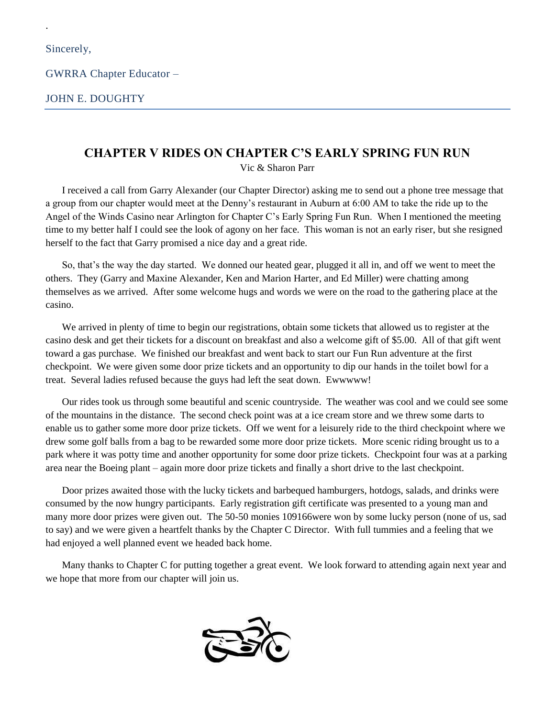.

GWRRA Chapter Educator –

JOHN E. DOUGHTY

#### **CHAPTER V RIDES ON CHAPTER C'S EARLY SPRING FUN RUN**

Vic & Sharon Parr

I received a call from Garry Alexander (our Chapter Director) asking me to send out a phone tree message that a group from our chapter would meet at the Denny's restaurant in Auburn at 6:00 AM to take the ride up to the Angel of the Winds Casino near Arlington for Chapter C's Early Spring Fun Run. When I mentioned the meeting time to my better half I could see the look of agony on her face. This woman is not an early riser, but she resigned herself to the fact that Garry promised a nice day and a great ride.

So, that's the way the day started. We donned our heated gear, plugged it all in, and off we went to meet the others. They (Garry and Maxine Alexander, Ken and Marion Harter, and Ed Miller) were chatting among themselves as we arrived. After some welcome hugs and words we were on the road to the gathering place at the casino.

We arrived in plenty of time to begin our registrations, obtain some tickets that allowed us to register at the casino desk and get their tickets for a discount on breakfast and also a welcome gift of \$5.00. All of that gift went toward a gas purchase. We finished our breakfast and went back to start our Fun Run adventure at the first checkpoint. We were given some door prize tickets and an opportunity to dip our hands in the toilet bowl for a treat. Several ladies refused because the guys had left the seat down. Ewwwww!

Our rides took us through some beautiful and scenic countryside. The weather was cool and we could see some of the mountains in the distance. The second check point was at a ice cream store and we threw some darts to enable us to gather some more door prize tickets. Off we went for a leisurely ride to the third checkpoint where we drew some golf balls from a bag to be rewarded some more door prize tickets. More scenic riding brought us to a park where it was potty time and another opportunity for some door prize tickets. Checkpoint four was at a parking area near the Boeing plant – again more door prize tickets and finally a short drive to the last checkpoint.

Door prizes awaited those with the lucky tickets and barbequed hamburgers, hotdogs, salads, and drinks were consumed by the now hungry participants. Early registration gift certificate was presented to a young man and many more door prizes were given out. The 50-50 monies 109166were won by some lucky person (none of us, sad to say) and we were given a heartfelt thanks by the Chapter C Director. With full tummies and a feeling that we had enjoyed a well planned event we headed back home.

Many thanks to Chapter C for putting together a great event. We look forward to attending again next year and we hope that more from our chapter will join us.

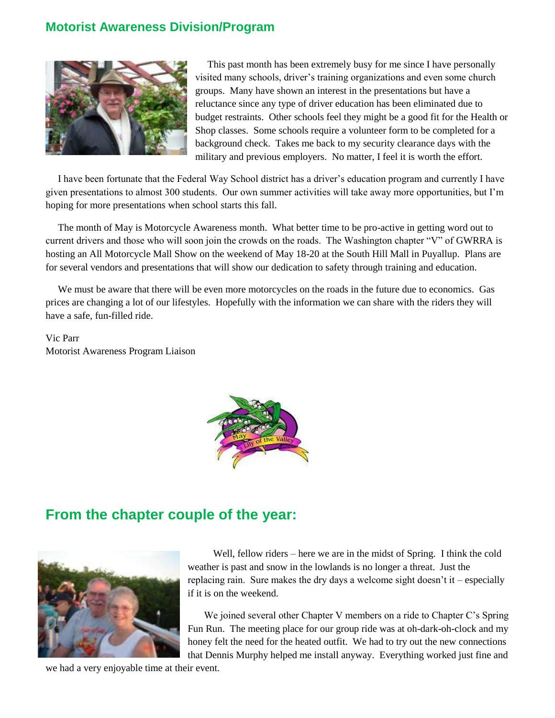#### **Motorist Awareness Division/Program**



This past month has been extremely busy for me since I have personally visited many schools, driver's training organizations and even some church groups. Many have shown an interest in the presentations but have a reluctance since any type of driver education has been eliminated due to budget restraints. Other schools feel they might be a good fit for the Health or Shop classes. Some schools require a volunteer form to be completed for a background check. Takes me back to my security clearance days with the military and previous employers. No matter, I feel it is worth the effort.

I have been fortunate that the Federal Way School district has a driver's education program and currently I have given presentations to almost 300 students. Our own summer activities will take away more opportunities, but I'm hoping for more presentations when school starts this fall.

The month of May is Motorcycle Awareness month. What better time to be pro-active in getting word out to current drivers and those who will soon join the crowds on the roads. The Washington chapter "V" of GWRRA is hosting an All Motorcycle Mall Show on the weekend of May 18-20 at the South Hill Mall in Puyallup. Plans are for several vendors and presentations that will show our dedication to safety through training and education.

We must be aware that there will be even more motorcycles on the roads in the future due to economics. Gas prices are changing a lot of our lifestyles. Hopefully with the information we can share with the riders they will have a safe, fun-filled ride.

Vic Parr Motorist Awareness Program Liaison



### **From the chapter couple of the year:**



 Well, fellow riders – here we are in the midst of Spring. I think the cold weather is past and snow in the lowlands is no longer a threat. Just the replacing rain. Sure makes the dry days a welcome sight doesn't it – especially if it is on the weekend.

We joined several other Chapter V members on a ride to Chapter C's Spring Fun Run. The meeting place for our group ride was at oh-dark-oh-clock and my honey felt the need for the heated outfit. We had to try out the new connections that Dennis Murphy helped me install anyway. Everything worked just fine and

we had a very enjoyable time at their event.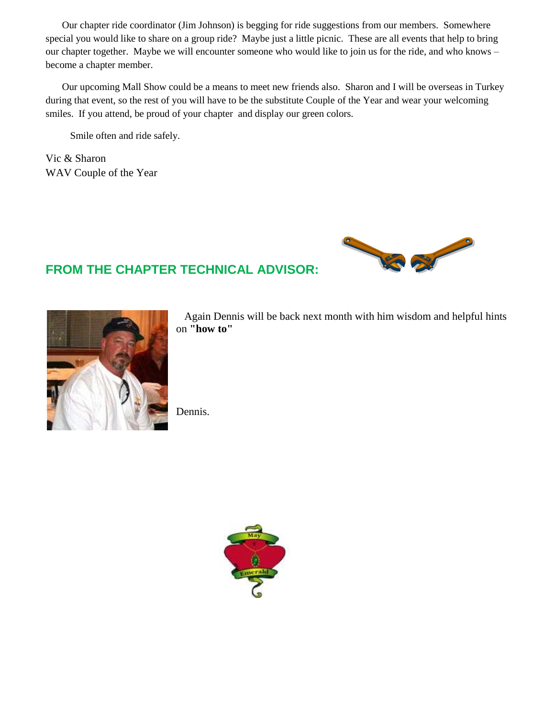Our chapter ride coordinator (Jim Johnson) is begging for ride suggestions from our members. Somewhere special you would like to share on a group ride? Maybe just a little picnic. These are all events that help to bring our chapter together. Maybe we will encounter someone who would like to join us for the ride, and who knows – become a chapter member.

Our upcoming Mall Show could be a means to meet new friends also. Sharon and I will be overseas in Turkey during that event, so the rest of you will have to be the substitute Couple of the Year and wear your welcoming smiles. If you attend, be proud of your chapter and display our green colors.

Smile often and ride safely.

Vic & Sharon WAV Couple of the Year



 Again Dennis will be back next month with him wisdom and helpful hints on **"how to"**

Dennis.

**FROM THE CHAPTER TECHNICAL ADVISOR:** 

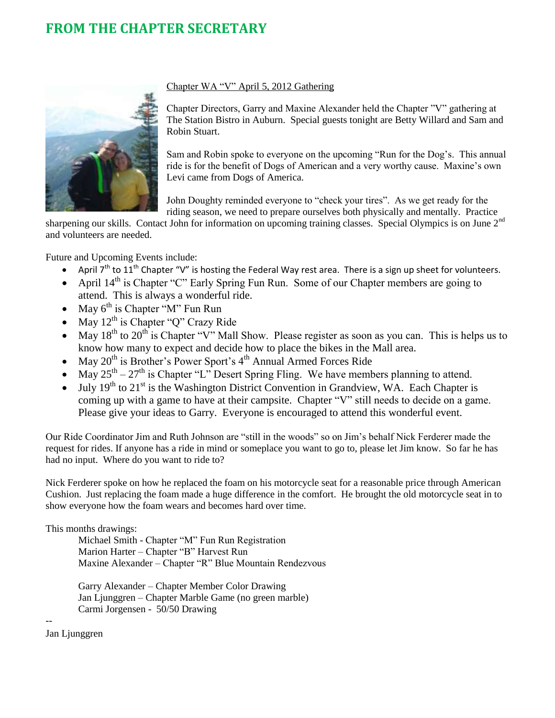### **FROM THE CHAPTER SECRETARY**



#### Chapter WA "V" April 5, 2012 Gathering

Chapter Directors, Garry and Maxine Alexander held the Chapter "V" gathering at The Station Bistro in Auburn. Special guests tonight are Betty Willard and Sam and Robin Stuart.

Sam and Robin spoke to everyone on the upcoming "Run for the Dog's. This annual ride is for the benefit of Dogs of American and a very worthy cause. Maxine's own Levi came from Dogs of America.

John Doughty reminded everyone to "check your tires". As we get ready for the riding season, we need to prepare ourselves both physically and mentally. Practice

sharpening our skills. Contact John for information on upcoming training classes. Special Olympics is on June 2<sup>nd</sup> and volunteers are needed.

Future and Upcoming Events include:

- April  $T^{th}$  to  $11^{th}$  Chapter "V" is hosting the Federal Way rest area. There is a sign up sheet for volunteers.
- April  $14<sup>th</sup>$  is Chapter "C" Early Spring Fun Run. Some of our Chapter members are going to attend. This is always a wonderful ride.
- May  $6^{\text{th}}$  is Chapter "M" Fun Run
- May  $12^{th}$  is Chapter "Q" Crazy Ride
- May  $18<sup>th</sup>$  to  $20<sup>th</sup>$  is Chapter "V" Mall Show. Please register as soon as you can. This is helps us to know how many to expect and decide how to place the bikes in the Mall area.
- May  $20^{th}$  is Brother's Power Sport's  $4^{th}$  Annual Armed Forces Ride
- May  $25<sup>th</sup> 27<sup>th</sup>$  is Chapter "L" Desert Spring Fling. We have members planning to attend.
- July 19<sup>th</sup> to 21<sup>st</sup> is the Washington District Convention in Grandview, WA. Each Chapter is coming up with a game to have at their campsite. Chapter "V" still needs to decide on a game. Please give your ideas to Garry. Everyone is encouraged to attend this wonderful event.

Our Ride Coordinator Jim and Ruth Johnson are "still in the woods" so on Jim's behalf Nick Ferderer made the request for rides. If anyone has a ride in mind or someplace you want to go to, please let Jim know. So far he has had no input. Where do you want to ride to?

Nick Ferderer spoke on how he replaced the foam on his motorcycle seat for a reasonable price through American Cushion. Just replacing the foam made a huge difference in the comfort. He brought the old motorcycle seat in to show everyone how the foam wears and becomes hard over time.

This months drawings:

Michael Smith - Chapter "M" Fun Run Registration Marion Harter – Chapter "B" Harvest Run Maxine Alexander – Chapter "R" Blue Mountain Rendezvous

Garry Alexander – Chapter Member Color Drawing Jan Ljunggren – Chapter Marble Game (no green marble) Carmi Jorgensen - 50/50 Drawing

Jan Ljunggren

--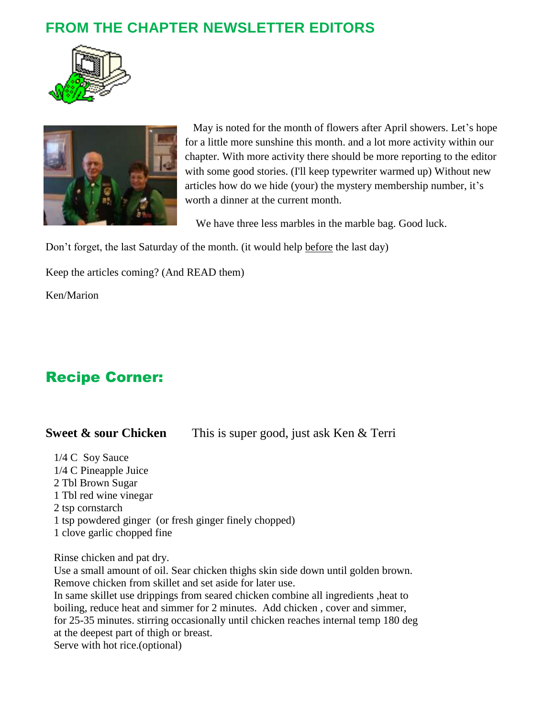## **FROM THE CHAPTER NEWSLETTER EDITORS**





 May is noted for the month of flowers after April showers. Let's hope for a little more sunshine this month. and a lot more activity within our chapter. With more activity there should be more reporting to the editor with some good stories. (I'll keep typewriter warmed up) Without new articles how do we hide (your) the mystery membership number, it's worth a dinner at the current month.

We have three less marbles in the marble bag. Good luck.

Don't forget, the last Saturday of the month. (it would help before the last day)

Keep the articles coming? (And READ them)

Ken/Marion

# Recipe Corner:

#### **Sweet & sour Chicken** This is super good, just ask Ken & Terri

 1/4 C Soy Sauce 1/4 C Pineapple Juice 2 Tbl Brown Sugar 1 Tbl red wine vinegar 2 tsp cornstarch 1 tsp powdered ginger (or fresh ginger finely chopped) 1 clove garlic chopped fine

Rinse chicken and pat dry.

 Use a small amount of oil. Sear chicken thighs skin side down until golden brown. Remove chicken from skillet and set aside for later use. In same skillet use drippings from seared chicken combine all ingredients ,heat to boiling, reduce heat and simmer for 2 minutes. Add chicken , cover and simmer, for 25-35 minutes. stirring occasionally until chicken reaches internal temp 180 deg at the deepest part of thigh or breast. Serve with hot rice.(optional)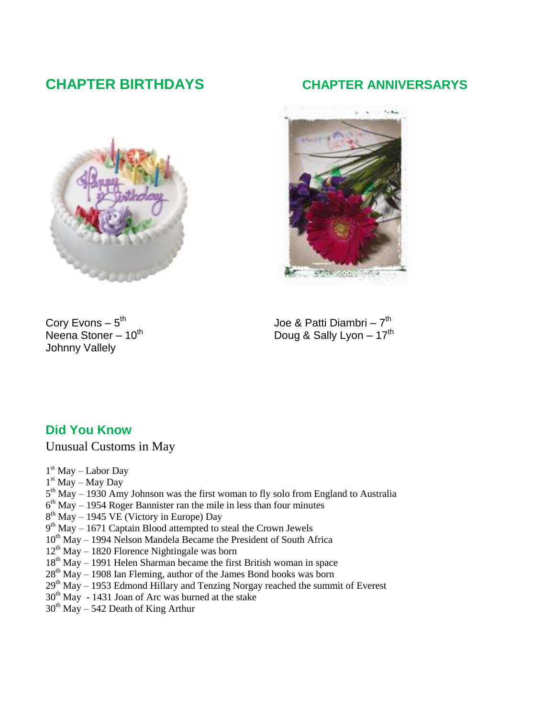## **CHAPTER BIRTHDAYS CHAPTER ANNIVERSARYS**





**SANDARA CONTRACTO** 

Cory Evons  $-5^{\text{th}}$ <br>Neena Stoner  $-10^{\text{th}}$ Johnny Vallely

<sup>th</sup> Joe & Patti Diambri – 7<sup>th</sup> Doug & Sally Lyon – 17<sup>th</sup>

#### **Did You Know**

Unusual Customs in May

- 1<sup>st</sup> May Labor Day
- 1 st May May Day
- $5<sup>th</sup>$  May 1930 Amy Johnson was the first woman to fly solo from England to Australia
- $6<sup>th</sup>$  May 1954 Roger Bannister ran the mile in less than four minutes
- 8<sup>th</sup> May 1945 VE (Victory in Europe) Day
- 9<sup>th</sup> May 1671 Captain Blood attempted to steal the Crown Jewels
- $10<sup>th</sup>$  May 1994 Nelson Mandela Became the President of South Africa
- $12<sup>th</sup>$  May 1820 Florence Nightingale was born
- $18<sup>th</sup>$  May 1991 Helen Sharman became the first British woman in space
- $28<sup>th</sup>$  May 1908 Ian Fleming, author of the James Bond books was born
- $29<sup>th</sup>$  May 1953 Edmond Hillary and Tenzing Norgay reached the summit of Everest
- $30<sup>th</sup>$  May 1431 Joan of Arc was burned at the stake
- $30<sup>th</sup>$  May 542 Death of King Arthur